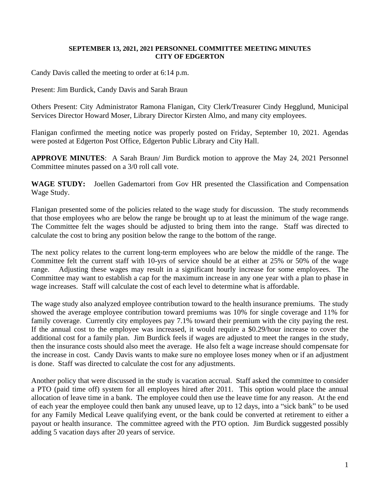## **SEPTEMBER 13, 2021, 2021 PERSONNEL COMMITTEE MEETING MINUTES CITY OF EDGERTON**

Candy Davis called the meeting to order at 6:14 p.m.

Present: Jim Burdick, Candy Davis and Sarah Braun

Others Present: City Administrator Ramona Flanigan, City Clerk/Treasurer Cindy Hegglund, Municipal Services Director Howard Moser, Library Director Kirsten Almo, and many city employees.

Flanigan confirmed the meeting notice was properly posted on Friday, September 10, 2021. Agendas were posted at Edgerton Post Office, Edgerton Public Library and City Hall.

**APPROVE MINUTES**: A Sarah Braun/ Jim Burdick motion to approve the May 24, 2021 Personnel Committee minutes passed on a 3/0 roll call vote.

**WAGE STUDY:** Joellen Gademartori from Gov HR presented the Classification and Compensation Wage Study.

Flanigan presented some of the policies related to the wage study for discussion. The study recommends that those employees who are below the range be brought up to at least the minimum of the wage range. The Committee felt the wages should be adjusted to bring them into the range. Staff was directed to calculate the cost to bring any position below the range to the bottom of the range.

The next policy relates to the current long-term employees who are below the middle of the range. The Committee felt the current staff with 10-yrs of service should be at either at 25% or 50% of the wage range. Adjusting these wages may result in a significant hourly increase for some employees. The Committee may want to establish a cap for the maximum increase in any one year with a plan to phase in wage increases. Staff will calculate the cost of each level to determine what is affordable.

The wage study also analyzed employee contribution toward to the health insurance premiums. The study showed the average employee contribution toward premiums was 10% for single coverage and 11% for family coverage. Currently city employees pay 7.1% toward their premium with the city paying the rest. If the annual cost to the employee was increased, it would require a \$0.29/hour increase to cover the additional cost for a family plan. Jim Burdick feels if wages are adjusted to meet the ranges in the study, then the insurance costs should also meet the average. He also felt a wage increase should compensate for the increase in cost. Candy Davis wants to make sure no employee loses money when or if an adjustment is done. Staff was directed to calculate the cost for any adjustments.

Another policy that were discussed in the study is vacation accrual. Staff asked the committee to consider a PTO (paid time off) system for all employees hired after 2011. This option would place the annual allocation of leave time in a bank. The employee could then use the leave time for any reason. At the end of each year the employee could then bank any unused leave, up to 12 days, into a "sick bank" to be used for any Family Medical Leave qualifying event, or the bank could be converted at retirement to either a payout or health insurance. The committee agreed with the PTO option. Jim Burdick suggested possibly adding 5 vacation days after 20 years of service.